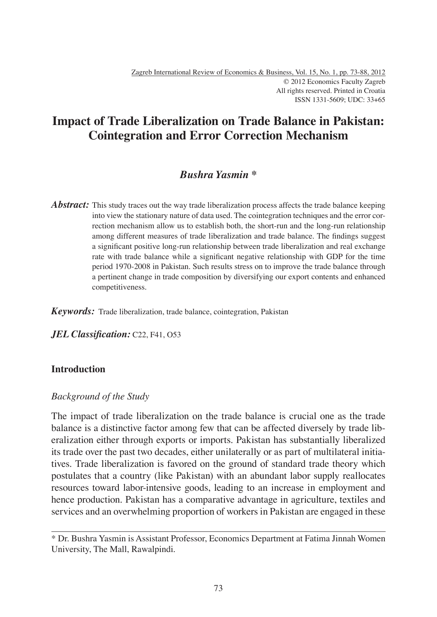# **Impact of Trade Liberalization on Trade Balance in Pakistan: Cointegration and Error Correction Mechanism**

# *Bushra Yasmin \**

*Abstract:* This study traces out the way trade liberalization process affects the trade balance keeping into view the stationary nature of data used. The cointegration techniques and the error correction mechanism allow us to establish both, the short-run and the long-run relationship among different measures of trade liberalization and trade balance. The findings suggest a significant positive long-run relationship between trade liberalization and real exchange rate with trade balance while a significant negative relationship with GDP for the time period 1970-2008 in Pakistan. Such results stress on to improve the trade balance through a pertinent change in trade composition by diversifying our export contents and enhanced competitiveness.

*Keywords:* Trade liberalization, trade balance, cointegration, Pakistan

*JEL Classification:* C22, F41, 053

### **Introduction**

### *Background of the Study*

The impact of trade liberalization on the trade balance is crucial one as the trade balance is a distinctive factor among few that can be affected diversely by trade liberalization either through exports or imports. Pakistan has substantially liberalized its trade over the past two decades, either unilaterally or as part of multilateral initiatives. Trade liberalization is favored on the ground of standard trade theory which postulates that a country (like Pakistan) with an abundant labor supply reallocates resources toward labor-intensive goods, leading to an increase in employment and hence production. Pakistan has a comparative advantage in agriculture, textiles and services and an overwhelming proportion of workers in Pakistan are engaged in these

<sup>\*</sup> Dr. Bushra Yasmin is Assistant Professor, Economics Department at Fatima Jinnah Women University, The Mall, Rawalpindi.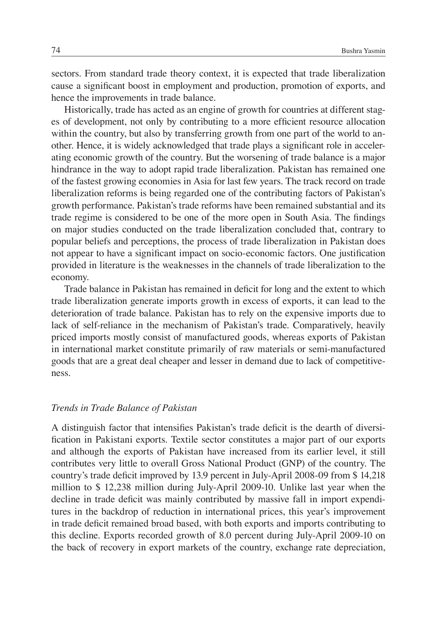sectors. From standard trade theory context, it is expected that trade liberalization cause a significant boost in employment and production, promotion of exports, and hence the improvements in trade balance.

Historically, trade has acted as an engine of growth for countries at different stages of development, not only by contributing to a more efficient resource allocation within the country, but also by transferring growth from one part of the world to another. Hence, it is widely acknowledged that trade plays a significant role in accelerating economic growth of the country. But the worsening of trade balance is a major hindrance in the way to adopt rapid trade liberalization. Pakistan has remained one of the fastest growing economies in Asia for last few years. The track record on trade liberalization reforms is being regarded one of the contributing factors of Pakistan's growth performance. Pakistan's trade reforms have been remained substantial and its trade regime is considered to be one of the more open in South Asia. The findings on major studies conducted on the trade liberalization concluded that, contrary to popular beliefs and perceptions, the process of trade liberalization in Pakistan does not appear to have a significant impact on socio-economic factors. One justification provided in literature is the weaknesses in the channels of trade liberalization to the economy.

Trade balance in Pakistan has remained in deficit for long and the extent to which trade liberalization generate imports growth in excess of exports, it can lead to the deterioration of trade balance. Pakistan has to rely on the expensive imports due to lack of self-reliance in the mechanism of Pakistan's trade. Comparatively, heavily priced imports mostly consist of manufactured goods, whereas exports of Pakistan in international market constitute primarily of raw materials or semi-manufactured goods that are a great deal cheaper and lesser in demand due to lack of competitiveness.

### *Trends in Trade Balance of Pakistan*

A distinguish factor that intensifies Pakistan's trade deficit is the dearth of diversification in Pakistani exports. Textile sector constitutes a major part of our exports and although the exports of Pakistan have increased from its earlier level, it still contributes very little to overall Gross National Product (GNP) of the country. The country's trade deficit improved by 13.9 percent in July-April 2008-09 from \$14,218 million to \$ 12,238 million during July-April 2009-10. Unlike last year when the decline in trade deficit was mainly contributed by massive fall in import expenditures in the backdrop of reduction in international prices, this year's improvement in trade deficit remained broad based, with both exports and imports contributing to this decline. Exports recorded growth of 8.0 percent during July-April 2009-10 on the back of recovery in export markets of the country, exchange rate depreciation,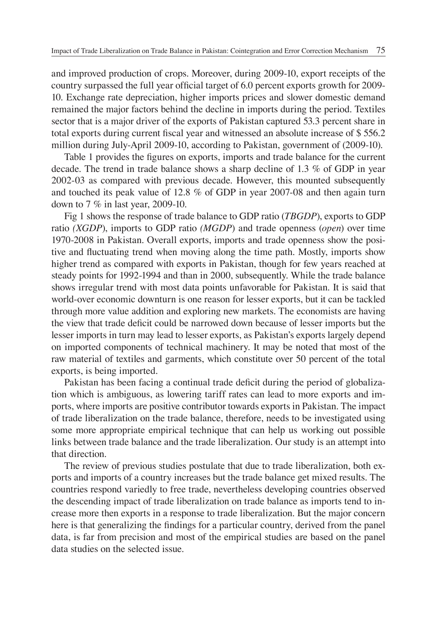and improved production of crops. Moreover, during 2009-10, export receipts of the country surpassed the full year official target of 6.0 percent exports growth for 2009-10. Exchange rate depreciation, higher imports prices and slower domestic demand remained the major factors behind the decline in imports during the period. Textiles sector that is a major driver of the exports of Pakistan captured 53.3 percent share in total exports during current fiscal year and witnessed an absolute increase of  $$\,556.2$ million during July-April 2009-10, according to Pakistan, government of (2009-10).

Table 1 provides the figures on exports, imports and trade balance for the current decade. The trend in trade balance shows a sharp decline of 1.3 % of GDP in year 2002-03 as compared with previous decade. However, this mounted subsequently and touched its peak value of 12.8 % of GDP in year 2007-08 and then again turn down to 7 % in last year, 2009-10.

Fig 1 shows the response of trade balance to GDP ratio (*TBGDP*), exports to GDP ratio *(XGDP*), imports to GDP ratio *(MGDP*) and trade openness (*open*) over time 1970-2008 in Pakistan. Overall exports, imports and trade openness show the positive and fluctuating trend when moving along the time path. Mostly, imports show higher trend as compared with exports in Pakistan, though for few years reached at steady points for 1992-1994 and than in 2000, subsequently. While the trade balance shows irregular trend with most data points unfavorable for Pakistan. It is said that world-over economic downturn is one reason for lesser exports, but it can be tackled through more value addition and exploring new markets. The economists are having the view that trade deficit could be narrowed down because of lesser imports but the lesser imports in turn may lead to lesser exports, as Pakistan's exports largely depend on imported components of technical machinery. It may be noted that most of the raw material of textiles and garments, which constitute over 50 percent of the total exports, is being imported.

Pakistan has been facing a continual trade deficit during the period of globalization which is ambiguous, as lowering tariff rates can lead to more exports and imports, where imports are positive contributor towards exports in Pakistan. The impact of trade liberalization on the trade balance, therefore, needs to be investigated using some more appropriate empirical technique that can help us working out possible links between trade balance and the trade liberalization. Our study is an attempt into that direction.

The review of previous studies postulate that due to trade liberalization, both exports and imports of a country increases but the trade balance get mixed results. The countries respond variedly to free trade, nevertheless developing countries observed the descending impact of trade liberalization on trade balance as imports tend to increase more then exports in a response to trade liberalization. But the major concern here is that generalizing the findings for a particular country, derived from the panel data, is far from precision and most of the empirical studies are based on the panel data studies on the selected issue.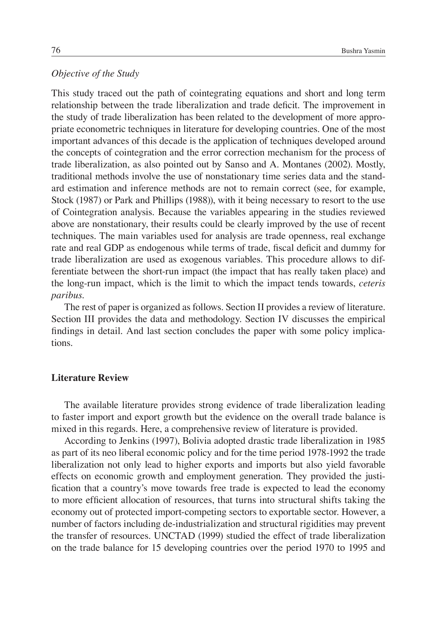### *Objective of the Study*

This study traced out the path of cointegrating equations and short and long term relationship between the trade liberalization and trade deficit. The improvement in the study of trade liberalization has been related to the development of more appropriate econometric techniques in literature for developing countries. One of the most important advances of this decade is the application of techniques developed around the concepts of cointegration and the error correction mechanism for the process of trade liberalization, as also pointed out by Sanso and A. Montanes (2002). Mostly, traditional methods involve the use of nonstationary time series data and the standard estimation and inference methods are not to remain correct (see, for example, Stock (1987) or Park and Phillips (1988)), with it being necessary to resort to the use of Cointegration analysis. Because the variables appearing in the studies reviewed above are nonstationary, their results could be clearly improved by the use of recent techniques. The main variables used for analysis are trade openness, real exchange rate and real GDP as endogenous while terms of trade, fiscal deficit and dummy for trade liberalization are used as exogenous variables. This procedure allows to differentiate between the short-run impact (the impact that has really taken place) and the long-run impact, which is the limit to which the impact tends towards, *ceteris paribus*.

The rest of paper is organized as follows. Section II provides a review of literature. Section III provides the data and methodology. Section IV discusses the empirical findings in detail. And last section concludes the paper with some policy implications.

### **Literature Review**

The available literature provides strong evidence of trade liberalization leading to faster import and export growth but the evidence on the overall trade balance is mixed in this regards. Here, a comprehensive review of literature is provided.

According to Jenkins (1997), Bolivia adopted drastic trade liberalization in 1985 as part of its neo liberal economic policy and for the time period 1978-1992 the trade liberalization not only lead to higher exports and imports but also yield favorable effects on economic growth and employment generation. They provided the justification that a country's move towards free trade is expected to lead the economy to more efficient allocation of resources, that turns into structural shifts taking the economy out of protected import-competing sectors to exportable sector. However, a number of factors including de-industrialization and structural rigidities may prevent the transfer of resources. UNCTAD (1999) studied the effect of trade liberalization on the trade balance for 15 developing countries over the period 1970 to 1995 and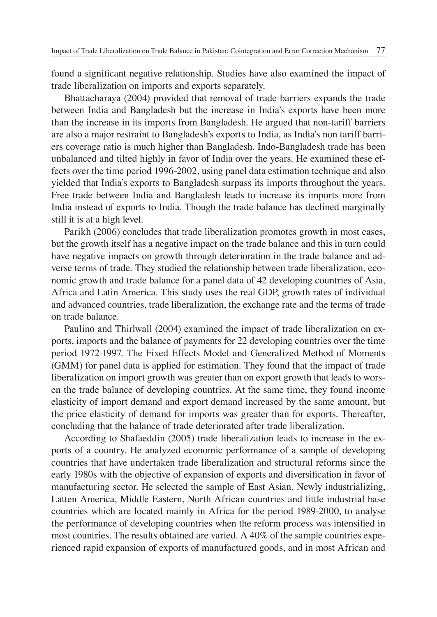found a significant negative relationship. Studies have also examined the impact of trade liberalization on imports and exports separately.

Bhattacharaya (2004) provided that removal of trade barriers expands the trade between India and Bangladesh but the increase in India's exports have been more than the increase in its imports from Bangladesh. He argued that non-tariff barriers are also a major restraint to Bangladesh's exports to India, as India's non tariff barriers coverage ratio is much higher than Bangladesh. Indo-Bangladesh trade has been unbalanced and tilted highly in favor of India over the years. He examined these effects over the time period 1996-2002, using panel data estimation technique and also yielded that India's exports to Bangladesh surpass its imports throughout the years. Free trade between India and Bangladesh leads to increase its imports more from India instead of exports to India. Though the trade balance has declined marginally still it is at a high level.

Parikh (2006) concludes that trade liberalization promotes growth in most cases, but the growth itself has a negative impact on the trade balance and this in turn could have negative impacts on growth through deterioration in the trade balance and adverse terms of trade. They studied the relationship between trade liberalization, economic growth and trade balance for a panel data of 42 developing countries of Asia, Africa and Latin America. This study uses the real GDP, growth rates of individual and advanced countries, trade liberalization, the exchange rate and the terms of trade on trade balance.

Paulino and Thirlwall (2004) examined the impact of trade liberalization on exports, imports and the balance of payments for 22 developing countries over the time period 1972-1997. The Fixed Effects Model and Generalized Method of Moments (GMM) for panel data is applied for estimation. They found that the impact of trade liberalization on import growth was greater than on export growth that leads to worsen the trade balance of developing countries. At the same time, they found income elasticity of import demand and export demand increased by the same amount, but the price elasticity of demand for imports was greater than for exports. Thereafter, concluding that the balance of trade deteriorated after trade liberalization.

According to Shafaeddin (2005) trade liberalization leads to increase in the exports of a country. He analyzed economic performance of a sample of developing countries that have undertaken trade liberalization and structural reforms since the early 1980s with the objective of expansion of exports and diversification in favor of manufacturing sector. He selected the sample of East Asian, Newly industrializing, Latten America, Middle Eastern, North African countries and little industrial base countries which are located mainly in Africa for the period 1989-2000, to analyse the performance of developing countries when the reform process was intensified in most countries. The results obtained are varied. A 40% of the sample countries experienced rapid expansion of exports of manufactured goods, and in most African and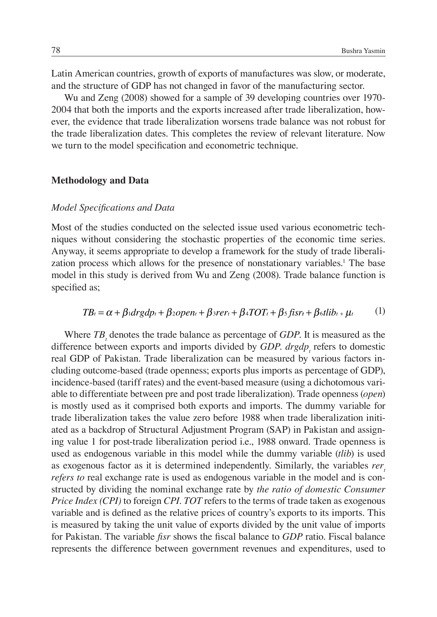Latin American countries, growth of exports of manufactures was slow, or moderate, and the structure of GDP has not changed in favor of the manufacturing sector.

Wu and Zeng (2008) showed for a sample of 39 developing countries over 1970- 2004 that both the imports and the exports increased after trade liberalization, however, the evidence that trade liberalization worsens trade balance was not robust for the trade liberalization dates. This completes the review of relevant literature. Now we turn to the model specification and econometric technique.

#### **Methodology and Data**

#### *Model Specifi cations and Data*

Most of the studies conducted on the selected issue used various econometric techniques without considering the stochastic properties of the economic time series. Anyway, it seems appropriate to develop a framework for the study of trade liberalization process which allows for the presence of nonstationary variables.<sup>1</sup> The base model in this study is derived from Wu and Zeng (2008). Trade balance function is specified as;

$$
TB_t = \alpha + \beta_1 dr g dp_t + \beta_2 open_t + \beta_3 rer_t + \beta_4 TOT_t + \beta_5 f isr_t + \beta_6 t lib_t + \mu_t
$$
 (1)

Where  $TB<sub>t</sub>$  denotes the trade balance as percentage of *GDP*. It is measured as the difference between exports and imports divided by *GDP*. *drgdp<sub>t</sub>* refers to domestic real GDP of Pakistan. Trade liberalization can be measured by various factors including outcome-based (trade openness; exports plus imports as percentage of GDP), incidence-based (tariff rates) and the event-based measure (using a dichotomous variable to differentiate between pre and post trade liberalization). Trade openness (*open*) is mostly used as it comprised both exports and imports. The dummy variable for trade liberalization takes the value zero before 1988 when trade liberalization initiated as a backdrop of Structural Adjustment Program (SAP) in Pakistan and assigning value 1 for post-trade liberalization period i.e., 1988 onward. Trade openness is used as endogenous variable in this model while the dummy variable (*tlib*) is used as exogenous factor as it is determined independently. Similarly, the variables *rer*, *refers to* real exchange rate is used as endogenous variable in the model and is constructed by dividing the nominal exchange rate by *the ratio of domestic Consumer Price Index (CPI)* to foreign *CPI. TOT* refers to the terms of trade taken as exogenous variable and is defined as the relative prices of country's exports to its imports. This is measured by taking the unit value of exports divided by the unit value of imports for Pakistan. The variable *fisr* shows the fiscal balance to *GDP* ratio. Fiscal balance represents the difference between government revenues and expenditures, used to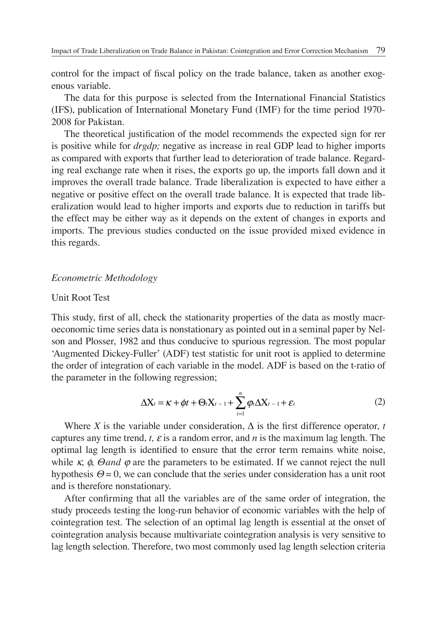control for the impact of fiscal policy on the trade balance, taken as another exogenous variable.

The data for this purpose is selected from the International Financial Statistics (IFS), publication of International Monetary Fund (IMF) for the time period 1970- 2008 for Pakistan.

The theoretical justification of the model recommends the expected sign for rer is positive while for *drgdp;* negative as increase in real GDP lead to higher imports as compared with exports that further lead to deterioration of trade balance. Regarding real exchange rate when it rises, the exports go up, the imports fall down and it improves the overall trade balance. Trade liberalization is expected to have either a negative or positive effect on the overall trade balance. It is expected that trade liberalization would lead to higher imports and exports due to reduction in tariffs but the effect may be either way as it depends on the extent of changes in exports and imports. The previous studies conducted on the issue provided mixed evidence in this regards.

#### *Econometric Methodology*

#### Unit Root Test

This study, first of all, check the stationarity properties of the data as mostly macroeconomic time series data is nonstationary as pointed out in a seminal paper by Nelson and Plosser, 1982 and thus conducive to spurious regression. The most popular 'Augmented Dickey-Fuller' (ADF) test statistic for unit root is applied to determine the order of integration of each variable in the model. ADF is based on the t-ratio of the parameter in the following regression;

$$
\Delta X_t = \kappa + \phi t + \Theta_t X_{t-1} + \sum_{i=1}^n \varphi_i \Delta X_{t-1} + \varepsilon_t \tag{2}
$$

Where *X* is the variable under consideration,  $\Delta$  is the first difference operator, *t* captures any time trend, *t*,  $\varepsilon$  is a random error, and *n* is the maximum lag length. The optimal lag length is identified to ensure that the error term remains white noise, while  $\kappa$ ,  $\phi$ , *Θand*  $\varphi$  are the parameters to be estimated. If we cannot reject the null hypothesis  $\Theta = 0$ , we can conclude that the series under consideration has a unit root and is therefore nonstationary.

After confirming that all the variables are of the same order of integration, the study proceeds testing the long-run behavior of economic variables with the help of cointegration test. The selection of an optimal lag length is essential at the onset of cointegration analysis because multivariate cointegration analysis is very sensitive to lag length selection. Therefore, two most commonly used lag length selection criteria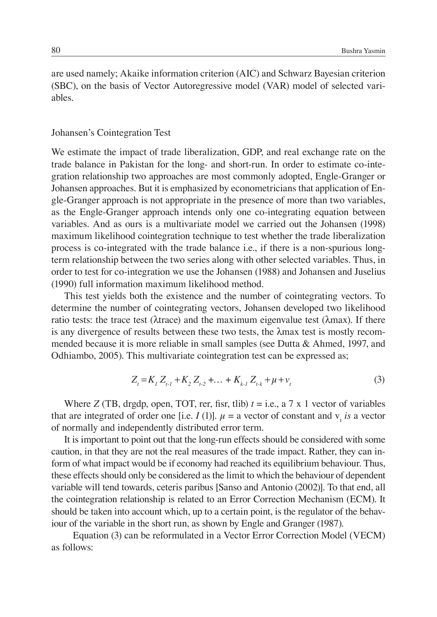are used namely; Akaike information criterion (AIC) and Schwarz Bayesian criterion (SBC), on the basis of Vector Autoregressive model (VAR) model of selected variables.

#### Johansen's Cointegration Test

We estimate the impact of trade liberalization, GDP, and real exchange rate on the trade balance in Pakistan for the long- and short-run. In order to estimate co-integration relationship two approaches are most commonly adopted, Engle-Granger or Johansen approaches. But it is emphasized by econometricians that application of Engle-Granger approach is not appropriate in the presence of more than two variables, as the Engle-Granger approach intends only one co-integrating equation between variables. And as ours is a multivariate model we carried out the Johansen (1998) maximum likelihood cointegration technique to test whether the trade liberalization process is co-integrated with the trade balance i.e., if there is a non-spurious longterm relationship between the two series along with other selected variables. Thus, in order to test for co-integration we use the Johansen (1988) and Johansen and Juselius (1990) full information maximum likelihood method.

This test yields both the existence and the number of cointegrating vectors. To determine the number of cointegrating vectors, Johansen developed two likelihood ratio tests: the trace test ( $\lambda$ trace) and the maximum eigenvalue test ( $\lambda$ max). If there is any divergence of results between these two tests, the λmax test is mostly recommended because it is more reliable in small samples (see Dutta & Ahmed, 1997, and Odhiambo, 2005). This multivariate cointegration test can be expressed as;

$$
Z_t = K_1 Z_{t-1} + K_2 Z_{t-2} + \dots + K_{k-1} Z_{t-k} + \mu + \nu_t
$$
\n(3)

Where *Z* (TB, drgdp, open, TOT, rer, fisr, tlib)  $t = i.e., a 7 x 1 vector of variables$ that are integrated of order one [i.e. *I* (1)].  $\mu$  = a vector of constant and  $v_t$  *is* a vector of normally and independently distributed error term.

It is important to point out that the long-run effects should be considered with some caution, in that they are not the real measures of the trade impact. Rather, they can inform of what impact would be if economy had reached its equilibrium behaviour. Thus, these effects should only be considered as the limit to which the behaviour of dependent variable will tend towards, ceteris paribus [Sanso and Antonio (2002)]. To that end, all the cointegration relationship is related to an Error Correction Mechanism (ECM). It should be taken into account which, up to a certain point, is the regulator of the behaviour of the variable in the short run, as shown by Engle and Granger (1987).

Equation (3) can be reformulated in a Vector Error Correction Model (VECM) as follows: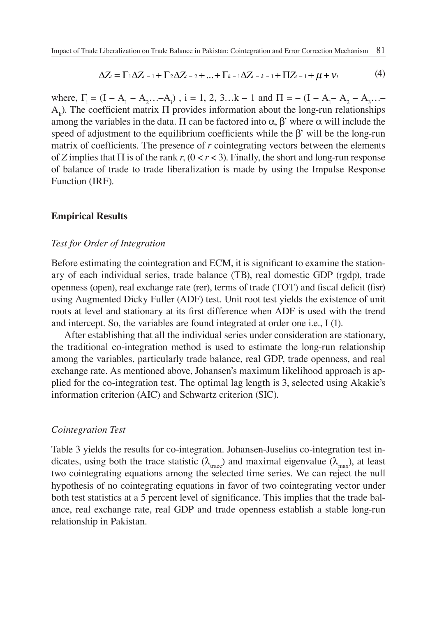$$
\Delta Z_t = \Gamma_1 \Delta Z_{t-1} + \Gamma_2 \Delta Z_{t-2} + ... + \Gamma_{k-1} \Delta Z_{t-k-1} + \Pi Z_{t-1} + \mu + \nu_t
$$
(4)

where,  $\Gamma_i = (I - A_1 - A_2 \dots - A_i)$ ,  $i = 1, 2, 3 \dots k - 1$  and  $\Pi = -(I - A_1 - A_2 - A_3 \dots - A_i)$  $A<sub>k</sub>$ ). The coefficient matrix Π provides information about the long-run relationships among the variables in the data. Π can be factored into  $\alpha$ , β' where  $\alpha$  will include the speed of adjustment to the equilibrium coefficients while the  $\beta'$  will be the long-run matrix of coefficients. The presence of  $r$  cointegrating vectors between the elements of *Z* implies that Π is of the rank *r*, (0 < *r* < 3). Finally, the short and long-run response of balance of trade to trade liberalization is made by using the Impulse Response Function (IRF).

#### **Empirical Results**

#### *Test for Order of Integration*

Before estimating the cointegration and ECM, it is significant to examine the stationary of each individual series, trade balance (TB), real domestic GDP (rgdp), trade openness (open), real exchange rate (rer), terms of trade (TOT) and fiscal deficit (fisr) using Augmented Dicky Fuller (ADF) test. Unit root test yields the existence of unit roots at level and stationary at its first difference when ADF is used with the trend and intercept. So, the variables are found integrated at order one i.e., I (1).

After establishing that all the individual series under consideration are stationary, the traditional co-integration method is used to estimate the long-run relationship among the variables, particularly trade balance, real GDP, trade openness, and real exchange rate. As mentioned above, Johansen's maximum likelihood approach is applied for the co-integration test. The optimal lag length is 3, selected using Akakie's information criterion (AIC) and Schwartz criterion (SIC).

#### *Cointegration Test*

Table 3 yields the results for co-integration. Johansen-Juselius co-integration test indicates, using both the trace statistic ( $\lambda_{\text{trace}}$ ) and maximal eigenvalue ( $\lambda_{\text{max}}$ ), at least two cointegrating equations among the selected time series. We can reject the null hypothesis of no cointegrating equations in favor of two cointegrating vector under both test statistics at a 5 percent level of significance. This implies that the trade balance, real exchange rate, real GDP and trade openness establish a stable long-run relationship in Pakistan.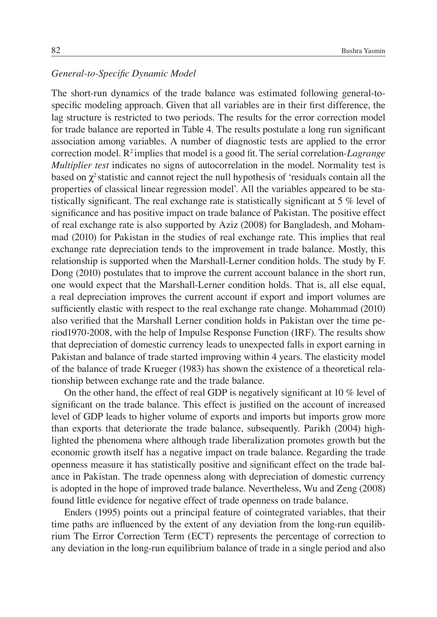### General-to-Specific Dynamic Model

The short-run dynamics of the trade balance was estimated following general-tospecific modeling approach. Given that all variables are in their first difference, the lag structure is restricted to two periods. The results for the error correction model for trade balance are reported in Table 4. The results postulate a long run significant association among variables. A number of diagnostic tests are applied to the error correction model. R<sup>2</sup> implies that model is a good fit. The serial correlation-*Lagrange Multiplier test* indicates no signs of autocorrelation in the model. Normality test is based on  $\chi^2$  statistic and cannot reject the null hypothesis of 'residuals contain all the properties of classical linear regression model'. All the variables appeared to be statistically significant. The real exchange rate is statistically significant at  $5\%$  level of significance and has positive impact on trade balance of Pakistan. The positive effect of real exchange rate is also supported by Aziz (2008) for Bangladesh, and Mohammad (2010) for Pakistan in the studies of real exchange rate. This implies that real exchange rate depreciation tends to the improvement in trade balance. Mostly, this relationship is supported when the Marshall-Lerner condition holds. The study by F. Dong (2010) postulates that to improve the current account balance in the short run, one would expect that the Marshall-Lerner condition holds. That is, all else equal, a real depreciation improves the current account if export and import volumes are sufficiently elastic with respect to the real exchange rate change. Mohammad (2010) also verified that the Marshall Lerner condition holds in Pakistan over the time period1970-2008, with the help of Impulse Response Function (IRF). The results show that depreciation of domestic currency leads to unexpected falls in export earning in Pakistan and balance of trade started improving within 4 years. The elasticity model of the balance of trade Krueger (1983) has shown the existence of a theoretical relationship between exchange rate and the trade balance.

On the other hand, the effect of real GDP is negatively significant at 10  $\%$  level of significant on the trade balance. This effect is justified on the account of increased level of GDP leads to higher volume of exports and imports but imports grow more than exports that deteriorate the trade balance, subsequently. Parikh (2004) highlighted the phenomena where although trade liberalization promotes growth but the economic growth itself has a negative impact on trade balance. Regarding the trade openness measure it has statistically positive and significant effect on the trade balance in Pakistan. The trade openness along with depreciation of domestic currency is adopted in the hope of improved trade balance. Nevertheless, Wu and Zeng (2008) found little evidence for negative effect of trade openness on trade balance.

Enders (1995) points out a principal feature of cointegrated variables, that their time paths are influenced by the extent of any deviation from the long-run equilibrium The Error Correction Term (ECT) represents the percentage of correction to any deviation in the long-run equilibrium balance of trade in a single period and also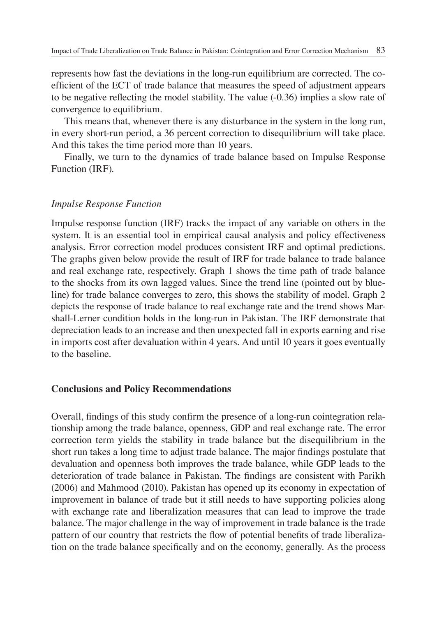represents how fast the deviations in the long-run equilibrium are corrected. The coefficient of the ECT of trade balance that measures the speed of adjustment appears to be negative reflecting the model stability. The value  $(-0.36)$  implies a slow rate of convergence to equilibrium.

This means that, whenever there is any disturbance in the system in the long run, in every short-run period, a 36 percent correction to disequilibrium will take place. And this takes the time period more than 10 years.

Finally, we turn to the dynamics of trade balance based on Impulse Response Function (IRF).

### *Impulse Response Function*

Impulse response function (IRF) tracks the impact of any variable on others in the system. It is an essential tool in empirical causal analysis and policy effectiveness analysis. Error correction model produces consistent IRF and optimal predictions. The graphs given below provide the result of IRF for trade balance to trade balance and real exchange rate, respectively. Graph 1 shows the time path of trade balance to the shocks from its own lagged values. Since the trend line (pointed out by blueline) for trade balance converges to zero, this shows the stability of model. Graph 2 depicts the response of trade balance to real exchange rate and the trend shows Marshall-Lerner condition holds in the long-run in Pakistan. The IRF demonstrate that depreciation leads to an increase and then unexpected fall in exports earning and rise in imports cost after devaluation within 4 years. And until 10 years it goes eventually to the baseline.

### **Conclusions and Policy Recommendations**

Overall, findings of this study confirm the presence of a long-run cointegration relationship among the trade balance, openness, GDP and real exchange rate. The error correction term yields the stability in trade balance but the disequilibrium in the short run takes a long time to adjust trade balance. The major findings postulate that devaluation and openness both improves the trade balance, while GDP leads to the deterioration of trade balance in Pakistan. The findings are consistent with Parikh (2006) and Mahmood (2010). Pakistan has opened up its economy in expectation of improvement in balance of trade but it still needs to have supporting policies along with exchange rate and liberalization measures that can lead to improve the trade balance. The major challenge in the way of improvement in trade balance is the trade pattern of our country that restricts the flow of potential benefits of trade liberalization on the trade balance specifically and on the economy, generally. As the process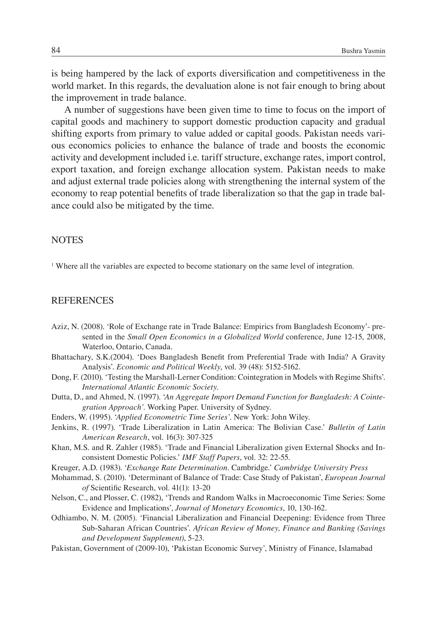is being hampered by the lack of exports diversification and competitiveness in the world market. In this regards, the devaluation alone is not fair enough to bring about the improvement in trade balance.

A number of suggestions have been given time to time to focus on the import of capital goods and machinery to support domestic production capacity and gradual shifting exports from primary to value added or capital goods. Pakistan needs various economics policies to enhance the balance of trade and boosts the economic activity and development included i.e. tariff structure, exchange rates, import control, export taxation, and foreign exchange allocation system. Pakistan needs to make and adjust external trade policies along with strengthening the internal system of the economy to reap potential benefits of trade liberalization so that the gap in trade balance could also be mitigated by the time.

#### **NOTES**

<sup>1</sup> Where all the variables are expected to become stationary on the same level of integration.

### **REFERENCES**

- Aziz, N. (2008). 'Role of Exchange rate in Trade Balance: Empirics from Bangladesh Economy'- presented in the *Small Open Economics in a Globalized World* conference, June 12-15, 2008, Waterloo, Ontario, Canada.
- Bhattachary, S.K.(2004). 'Does Bangladesh Benefi t from Preferential Trade with India? A Gravity Analysis'. *Economic and Political Weekly*, vol. 39 (48): 5152-5162.
- Dong, F. (2010). 'Testing the Marshall-Lerner Condition: Cointegration in Models with Regime Shifts'. *International Atlantic Economic Society.*
- Dutta, D., and Ahmed, N. (1997). '*An Aggregate Import Demand Function for Bangladesh: A Cointegration Approach'.* Working Paper. University of Sydney.
- Enders, W. (1995). '*Applied Econometric Time Series'*. New York: John Wiley.
- Jenkins, R. (1997). 'Trade Liberalization in Latin America: The Bolivian Case.' *Bulletin of Latin American Research*, vol. 16(3): 307-325
- Khan, M.S. and R. Zahler (1985). 'Trade and Financial Liberalization given External Shocks and Inconsistent Domestic Policies.' *IMF Staff Papers*, vol. 32: 22-55.
- Kreuger, A.D. (1983). '*Exchange Rate Determination*. Cambridge.' *Cambridge University Press*
- Mohammad, S. (2010). 'Determinant of Balance of Trade: Case Study of Pakistan', *European Journal*  of Scientific Research, vol. 41(1): 13-20
- Nelson, C., and Plosser, C. (1982), 'Trends and Random Walks in Macroeconomic Time Series: Some Evidence and Implications', *Journal of Monetary Economics*, 10, 130-162.
- Odhiambo, N. M. (2005). 'Financial Liberalization and Financial Deepening: Evidence from Three Sub-Saharan African Countries'. *African Review of Money, Finance and Banking (Savings and Development Supplement)*, 5-23.
- Pakistan, Government of (2009-10), 'Pakistan Economic Survey', Ministry of Finance, Islamabad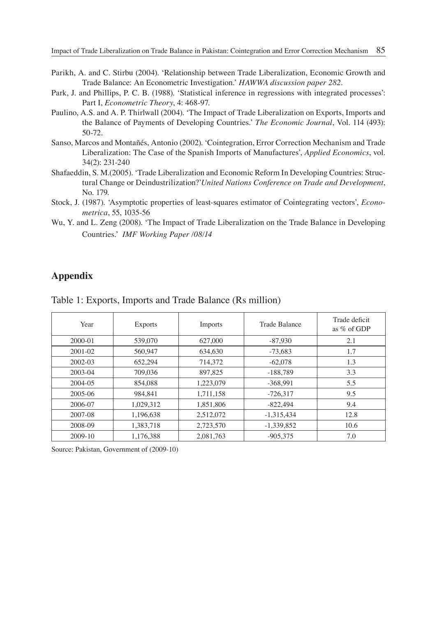- Parikh, A. and C. Stirbu (2004). 'Relationship between Trade Liberalization, Economic Growth and Trade Balance: An Econometric Investigation.' *HAWWA discussion paper 282.*
- Park, J. and Phillips, P. C. B. (1988). 'Statistical inference in regressions with integrated processes': Part I, *Econometric Theory*, 4: 468-97.
- Paulino, A.S. and A. P. Thirlwall (2004). 'The Impact of Trade Liberalization on Exports, Imports and the Balance of Payments of Developing Countries.' *The Economic Journal*, Vol. 114 (493): 50-72.
- Sanso, Marcos and Montañés, Antonio (2002). 'Cointegration, Error Correction Mechanism and Trade Liberalization: The Case of the Spanish Imports of Manufactures', *Applied Economics*, vol. 34(2): 231-240
- Shafaeddin, S. M.(2005). 'Trade Liberalization and Economic Reform In Developing Countries: Structural Change or Deindustrilization?'*United Nations Conference on Trade and Development*, No. 179.
- Stock, J. (1987). 'Asymptotic properties of least-squares estimator of Cointegrating vectors', *Econometrica*, 55, 1035-56
- Wu, Y. and L. Zeng (2008). 'The Impact of Trade Liberalization on the Trade Balance in Developing Countries.' *IMF Working Paper /08/14*

### **Appendix**

| Year        | <b>Exports</b> | Imports   | Trade Balance | Trade deficit<br>as $%$ of GDP |
|-------------|----------------|-----------|---------------|--------------------------------|
| $2000 - 01$ | 539,070        | 627,000   | $-87.930$     | 2.1                            |
| 2001-02     | 560,947        | 634,630   | $-73.683$     | 1.7                            |
| $2002 - 03$ | 652,294        | 714.372   | $-62,078$     | 1.3                            |
| 2003-04     | 709,036        | 897,825   | $-188,789$    | 3.3                            |
| 2004-05     | 854,088        | 1.223.079 | $-368.991$    | 5.5                            |
| 2005-06     | 984,841        | 1,711,158 | $-726.317$    | 9.5                            |
| 2006-07     | 1,029,312      | 1,851,806 | $-822.494$    | 9.4                            |
| 2007-08     | 1,196,638      | 2,512,072 | $-1,315,434$  | 12.8                           |
| 2008-09     | 1,383,718      | 2,723,570 | $-1,339,852$  | 10.6                           |
| 2009-10     | 1,176,388      | 2.081.763 | $-905.375$    | 7.0                            |

Table 1: Exports, Imports and Trade Balance (Rs million)

Source: Pakistan, Government of (2009-10)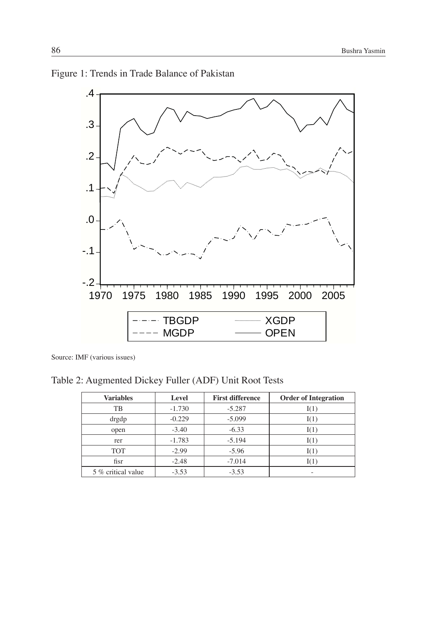



Source: IMF (various issues)

Table 2: Augmented Dickey Fuller (ADF) Unit Root Tests

| <b>Variables</b>   | Level    | <b>First difference</b> | <b>Order of Integration</b> |
|--------------------|----------|-------------------------|-----------------------------|
| TB                 | $-1.730$ | $-5.287$                | I(1)                        |
| drgdp              | $-0.229$ | $-5.099$                | I(1)                        |
| open               | $-3.40$  | $-6.33$                 | I(1)                        |
| rer                | $-1.783$ | $-5.194$                | I(1)                        |
| <b>TOT</b>         | $-2.99$  | $-5.96$                 | I(1)                        |
| fisr               | $-2.48$  | $-7.014$                |                             |
| 5 % critical value | $-3.53$  | $-3.53$                 |                             |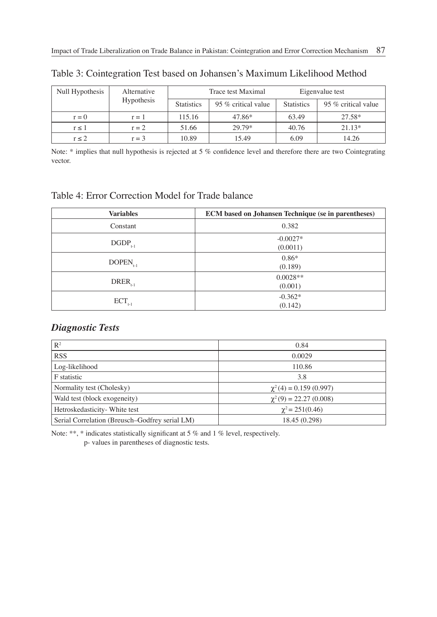| Null Hypothesis | Alternative |                   | Trace test Maximal  | Eigenvalue test   |                     |
|-----------------|-------------|-------------------|---------------------|-------------------|---------------------|
|                 | Hypothesis  | <b>Statistics</b> | 95 % critical value | <b>Statistics</b> | 95 % critical value |
| $r = 0$         | $r = 1$     | 115.16            | 47.86*              | 63.49             | 27.58*              |
| $r \leq 1$      | $r = 2$     | 51.66             | 29.79*              | 40.76             | $21.13*$            |
| $r \leq 2$      | $r = 3$     | 10.89             | 15.49               | 6.09              | 14.26               |

Table 3: Cointegration Test based on Johansen's Maximum Likelihood Method

Note: \* implies that null hypothesis is rejected at 5 % confidence level and therefore there are two Cointegrating vector.

### Table 4: Error Correction Model for Trade balance

| <b>Variables</b> | <b>ECM</b> based on Johansen Technique (se in parentheses) |
|------------------|------------------------------------------------------------|
| Constant         | 0.382                                                      |
| $DGDP_{t-1}$     | $-0.0027*$<br>(0.0011)                                     |
| $DOPEN_{t-1}$    | $0.86*$<br>(0.189)                                         |
| $DREF_{t-1}$     | $0.0028**$<br>(0.001)                                      |
| $ECT_{t-1}$      | $-0.362*$<br>(0.142)                                       |

### *Diagnostic Tests*

| R <sup>2</sup>                                 | 0.84                       |
|------------------------------------------------|----------------------------|
| <b>RSS</b>                                     | 0.0029                     |
| Log-likelihood                                 | 110.86                     |
| F statistic                                    | 3.8                        |
| Normality test (Cholesky)                      | $\chi^2(4) = 0.159(0.997)$ |
| Wald test (block exogeneity)                   | $\chi^2(9) = 22.27(0.008)$ |
| Hetroskedasticity- White test                  | $\gamma^2$ = 251(0.46)     |
| Serial Correlation (Breusch–Godfrey serial LM) | 18.45 (0.298)              |

Note: \*\*, \* indicates statistically significant at 5 % and 1 % level, respectively. p- values in parentheses of diagnostic tests.